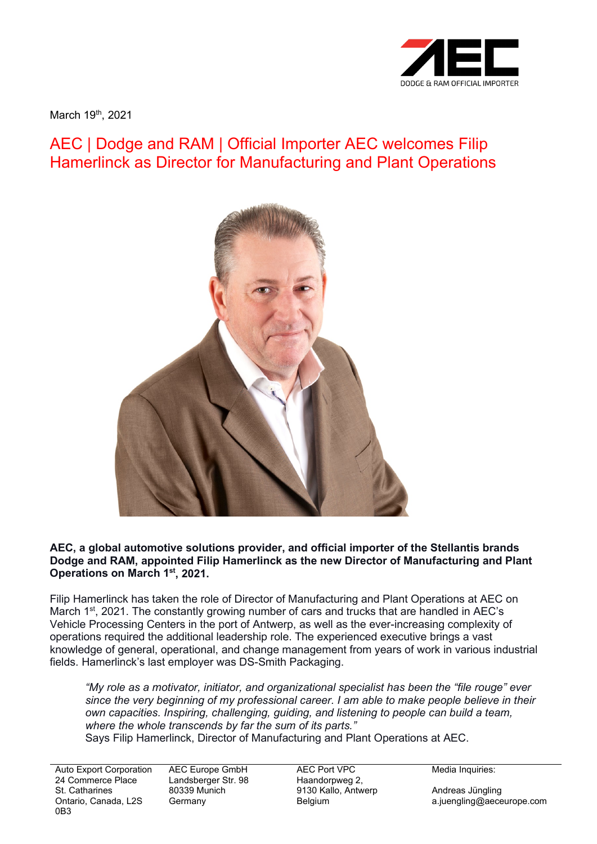

March 19<sup>th</sup>, 2021

## AEC | Dodge and RAM | Official Importer AEC welcomes Filip Hamerlinck as Director for Manufacturing and Plant Operations



**AEC, a global automotive solutions provider, and official importer of the Stellantis brands Dodge and RAM, appointed Filip Hamerlinck as the new Director of Manufacturing and Plant Operations on March 1st, 2021.**

Filip Hamerlinck has taken the role of Director of Manufacturing and Plant Operations at AEC on March 1<sup>st</sup>, 2021. The constantly growing number of cars and trucks that are handled in AEC's Vehicle Processing Centers in the port of Antwerp, as well as the ever-increasing complexity of operations required the additional leadership role. The experienced executive brings a vast knowledge of general, operational, and change management from years of work in various industrial fields. Hamerlinck's last employer was DS-Smith Packaging.

*"My role as a motivator, initiator, and organizational specialist has been the "file rouge" ever since the very beginning of my professional career. I am able to make people believe in their own capacities. Inspiring, challenging, guiding, and listening to people can build a team, where the whole transcends by far the sum of its parts."* Says Filip Hamerlinck, Director of Manufacturing and Plant Operations at AEC.

Auto Export Corporation 24 Commerce Place St. Catharines Ontario, Canada, L2S 0B3

AEC Europe GmbH Landsberger Str. 98 80339 Munich Germany

AEC Port VPC Haandorpweg 2, 9130 Kallo, Antwerp Belgium

Media Inquiries:

Andreas Jüngling a.juengling@aeceurope.com